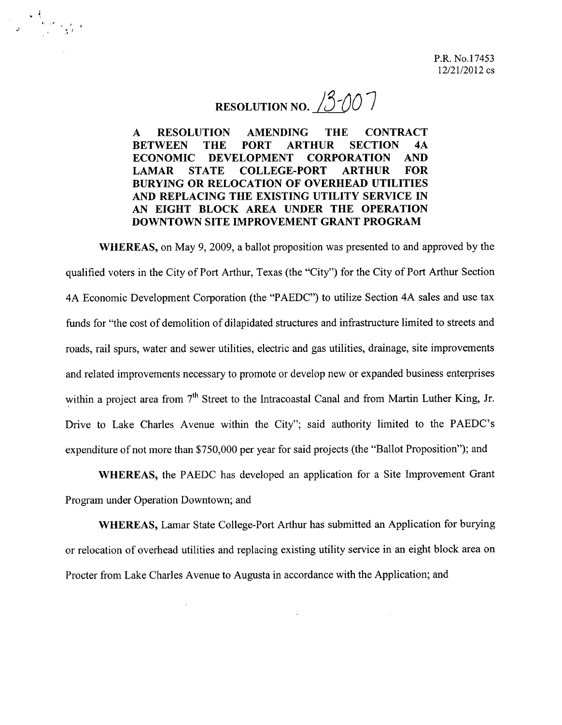## RESOLUTION NO. 3<sup>3</sup>/10<sup>7</sup>

 $\frac{1}{2}$ 

**A RESOLUTION AMENDING THE CONTRACT BETWEEN THE PORT ARTHUR SECTION 4A ECONOMIC DEVELOPMENT CORPORATION AND LAMAR STATE COLLEGE-PORT ARTHUR FOR BURYING OR RELOCATION OF OVERHEAD UTILITIES AND REPLACING THE EXISTING UTILITY SERVICE IN AN EIGHT BLOCK AREA UNDER THE OPERATION DOWNTOWN SITE IMPROVEMENT GRANT PROGRAM**

**WHEREAS,** on May 9, 2009, a ballot proposition was presented to and approved by the qualified voters in the City of Port Arthur, Texas (the "City") for the City of Port Arthur Section 4A Economic Development Corporation (the "PAEDC") to utilize Section 4A sales and use tax funds for "the cost of demolition of dilapidated structures and infrastructure limited to streets and roads, rail spurs, water and sewer utilities, electric and gas utilities, drainage, site improvements and related improvements necessary to promote or develop new or expanded business enterprises within a project area from 7<sup>th</sup> Street to the Intracoastal Canal and from Martin Luther King, Jr. Drive to Lake Charles Avenue within the City"; said authority limited to the PAEDC's expenditure of not more than \$750,000 per year for said projects (the "Ballot Proposition"); and

**WHEREAS,** the PAEDC has developed an application for a Site Improvement Grant Program under Operation Downtown; and

**WHEREAS,** Lamar State College-Port Arthur has submitted an Application for burying or relocation of overhead utilities and replacing existing utility service in an eight block area on Procter from Lake Charles Avenue to Augusta in accordance with the Application; and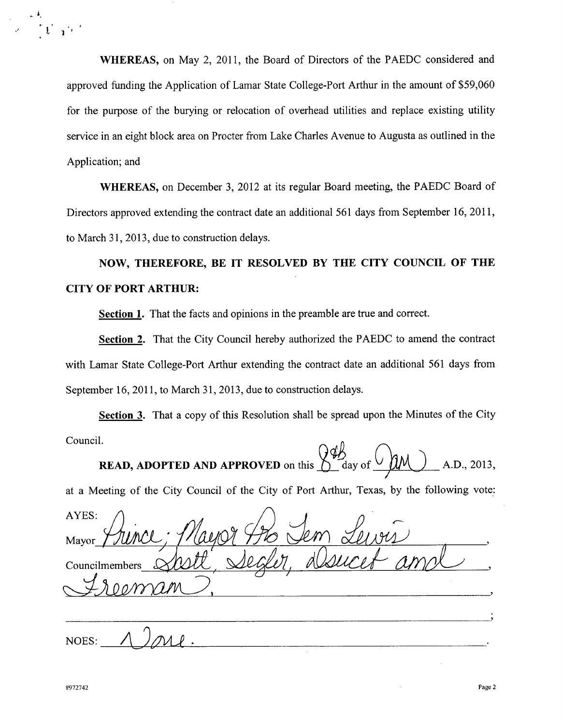**WHEREAS,** on May 2, 2011, the Board of Directors of the PAEDC considered and approved funding the Application of Lamar State College-Port Arthur in the amount of \$59,060 for the purpose of the burying or relocation of overhead utilities and replace existing utility service in an eight block area on Procter from Lake Charles Avenue to Augusta as outlined in the Application; and

**WHEREAS,** on December 3, 2012 at its regular Board meeting, the PAEDC Board of Directors approved extending the contract date an additional 561 days from September 16, 2011, to March 31, 2013, due to construction delays.

**NOW, THEREFORE, BE IT RESOLVED BY THE CITY COUNCIL OF THE CITY OF PORT ARTHUR:**

**Section 1.** That the facts and opinions in the preamble are true and correct.

**Section 2.** That the City Council hereby authorized the PAEDC to amend the contract with Lamar State College-Port Arthur extending the contract date an additional 561 days from September 16, 2011, to March 31, 2013, due to construction delays.

**Section 3.** That a copy of this Resolution shall be spread upon the Minutes of the City  $\text{Count}$ .  $\bigcap_{\mathcal{A}} \emptyset$ 

**READ, ADOPTED AND APPROVED** on this  $\bigcup_{\text{day of}} \bigcup_{\text{day of}} \bigcup_{\text{AM}}$  A.D., 2013,

at a Meeting of the City Council of the City of Port Arthur, Texas, by the following vote,:

AYES: Mayor Councilmembers ~~) <u> 1980 - Jan Barnett, fransk politiker (d. 1980)</u> NOES:

*J* t  $\mathbf{L} \rightarrow \mathbf{L}$